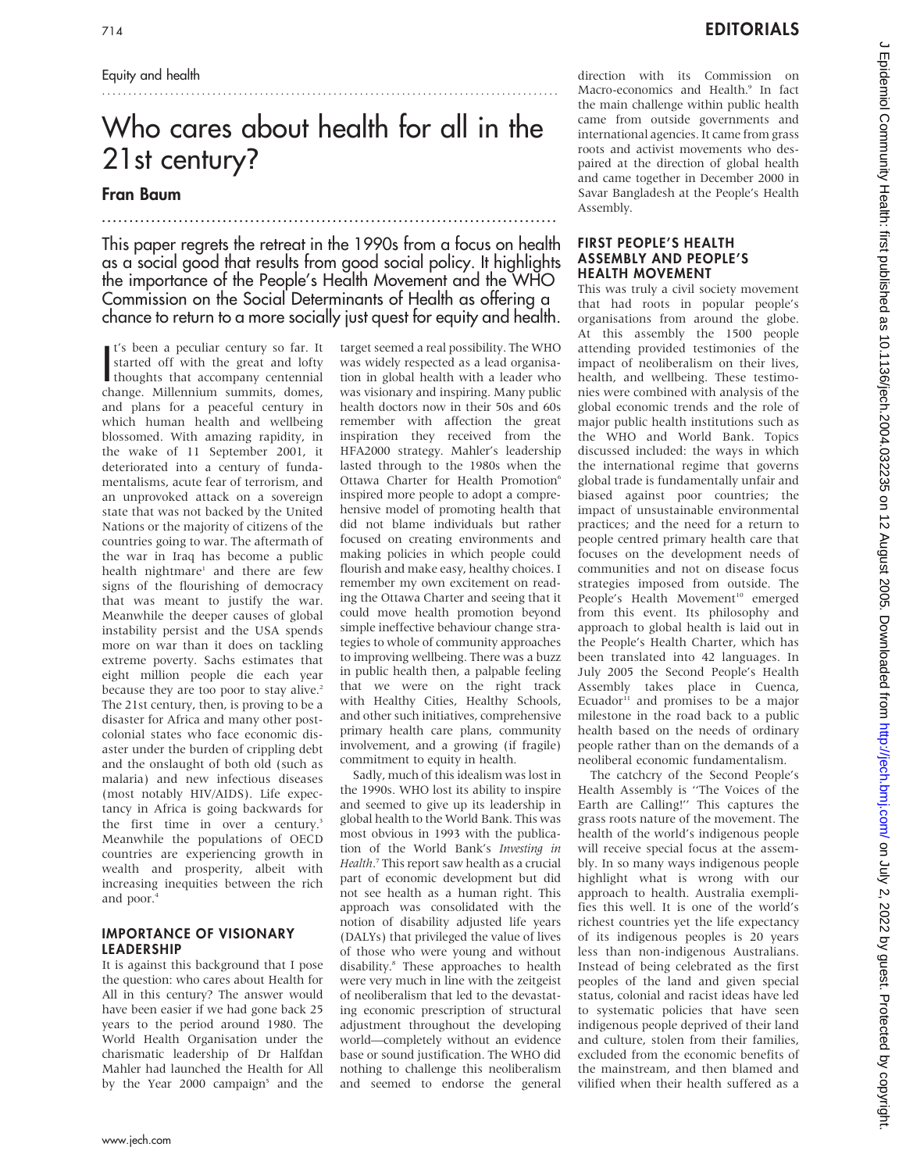Equity and health

# Who cares about health for all in the 21st century?

.......................................................................................

### Fran Baum

This paper regrets the retreat in the 1990s from a focus on health as a social good that results from good social policy. It highlights the importance of the People's Health Movement and the WHO Commission on the Social Determinants of Health as offering a chance to return to a more socially just quest for equity and health.

...................................................................................

I's been a pecular century so far. It<br>started off with the great and lofty<br>thoughts that accompany centennial<br>change Millennium cummite domes t's been a peculiar century so far. It started off with the great and lofty change. Millennium summits, domes, and plans for a peaceful century in which human health and wellbeing blossomed. With amazing rapidity, in the wake of 11 September 2001, it deteriorated into a century of fundamentalisms, acute fear of terrorism, and an unprovoked attack on a sovereign state that was not backed by the United Nations or the majority of citizens of the countries going to war. The aftermath of the war in Iraq has become a public health nightmare<sup>1</sup> and there are few signs of the flourishing of democracy that was meant to justify the war. Meanwhile the deeper causes of global instability persist and the USA spends more on war than it does on tackling extreme poverty. Sachs estimates that eight million people die each year because they are too poor to stay alive.<sup>2</sup> The 21st century, then, is proving to be a disaster for Africa and many other postcolonial states who face economic disaster under the burden of crippling debt and the onslaught of both old (such as malaria) and new infectious diseases (most notably HIV/AIDS). Life expectancy in Africa is going backwards for the first time in over a century.<sup>3</sup> Meanwhile the populations of OECD countries are experiencing growth in wealth and prosperity, albeit with increasing inequities between the rich and poor.<sup>4</sup>

### IMPORTANCE OF VISIONARY LEADERSHIP

It is against this background that I pose the question: who cares about Health for All in this century? The answer would have been easier if we had gone back 25 years to the period around 1980. The World Health Organisation under the charismatic leadership of Dr Halfdan Mahler had launched the Health for All by the Year 2000 campaign<sup>5</sup> and the target seemed a real possibility. The WHO was widely respected as a lead organisation in global health with a leader who was visionary and inspiring. Many public health doctors now in their 50s and 60s remember with affection the great inspiration they received from the HFA2000 strategy. Mahler's leadership lasted through to the 1980s when the Ottawa Charter for Health Promotion<sup>6</sup> inspired more people to adopt a comprehensive model of promoting health that did not blame individuals but rather focused on creating environments and making policies in which people could flourish and make easy, healthy choices. I remember my own excitement on reading the Ottawa Charter and seeing that it could move health promotion beyond simple ineffective behaviour change strategies to whole of community approaches to improving wellbeing. There was a buzz in public health then, a palpable feeling that we were on the right track with Healthy Cities, Healthy Schools, and other such initiatives, comprehensive primary health care plans, community involvement, and a growing (if fragile) commitment to equity in health.

Sadly, much of this idealism was lost in the 1990s. WHO lost its ability to inspire and seemed to give up its leadership in global health to the World Bank. This was most obvious in 1993 with the publication of the World Bank's Investing in Health.<sup>7</sup> This report saw health as a crucial part of economic development but did not see health as a human right. This approach was consolidated with the notion of disability adjusted life years (DALYs) that privileged the value of lives of those who were young and without disability.8 These approaches to health were very much in line with the zeitgeist of neoliberalism that led to the devastating economic prescription of structural adjustment throughout the developing world—completely without an evidence base or sound justification. The WHO did nothing to challenge this neoliberalism and seemed to endorse the general

direction with its Commission on Macro-economics and Health.<sup>9</sup> In fact the main challenge within public health came from outside governments and international agencies. It came from grass roots and activist movements who despaired at the direction of global health and came together in December 2000 in Savar Bangladesh at the People's Health Assembly.

### FIRST PEOPLE'S HEALTH ASSEMBLY AND PEOPLE'S HEALTH MOVEMENT

This was truly a civil society movement that had roots in popular people's organisations from around the globe. At this assembly the 1500 people attending provided testimonies of the impact of neoliberalism on their lives, health, and wellbeing. These testimonies were combined with analysis of the global economic trends and the role of major public health institutions such as the WHO and World Bank. Topics discussed included: the ways in which the international regime that governs global trade is fundamentally unfair and biased against poor countries; the impact of unsustainable environmental practices; and the need for a return to people centred primary health care that focuses on the development needs of communities and not on disease focus strategies imposed from outside. The People's Health Movement<sup>10</sup> emerged from this event. Its philosophy and approach to global health is laid out in the People's Health Charter, which has been translated into 42 languages. In July 2005 the Second People's Health Assembly takes place in Cuenca, Ecuador $^{11}$  and promises to be a major milestone in the road back to a public health based on the needs of ordinary people rather than on the demands of a neoliberal economic fundamentalism.

The catchcry of the Second People's Health Assembly is ''The Voices of the Earth are Calling!'' This captures the grass roots nature of the movement. The health of the world's indigenous people will receive special focus at the assembly. In so many ways indigenous people highlight what is wrong with our approach to health. Australia exemplifies this well. It is one of the world's richest countries yet the life expectancy of its indigenous peoples is 20 years less than non-indigenous Australians. Instead of being celebrated as the first peoples of the land and given special status, colonial and racist ideas have led to systematic policies that have seen indigenous people deprived of their land and culture, stolen from their families, excluded from the economic benefits of the mainstream, and then blamed and vilified when their health suffered as a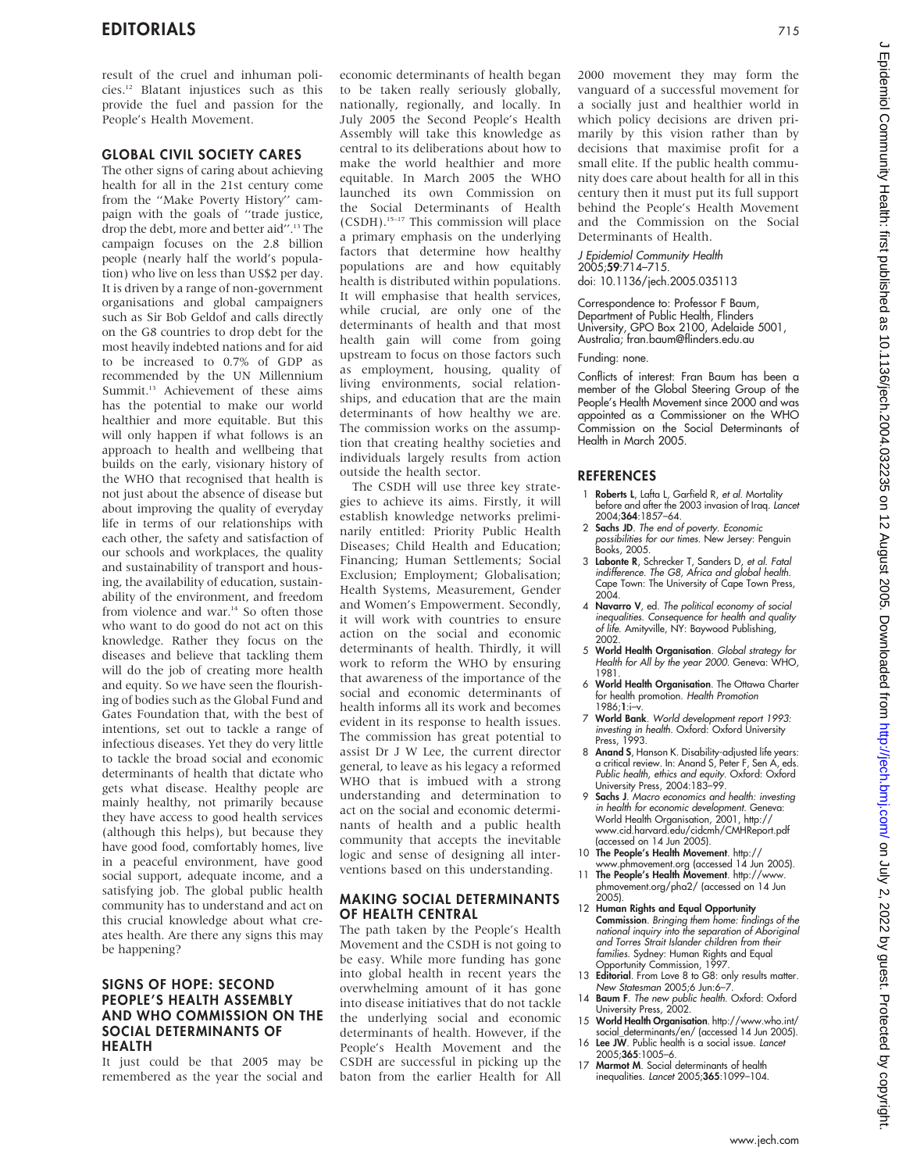result of the cruel and inhuman policies.12 Blatant injustices such as this provide the fuel and passion for the People's Health Movement.

### GLOBAL CIVIL SOCIETY CARES

The other signs of caring about achieving health for all in the 21st century come from the ''Make Poverty History'' campaign with the goals of ''trade justice, drop the debt, more and better aid''.13 The campaign focuses on the 2.8 billion people (nearly half the world's population) who live on less than US\$2 per day. It is driven by a range of non-government organisations and global campaigners such as Sir Bob Geldof and calls directly on the G8 countries to drop debt for the most heavily indebted nations and for aid to be increased to 0.7% of GDP as recommended by the UN Millennium Summit.<sup>13</sup> Achievement of these aims has the potential to make our world healthier and more equitable. But this will only happen if what follows is an approach to health and wellbeing that builds on the early, visionary history of the WHO that recognised that health is not just about the absence of disease but about improving the quality of everyday life in terms of our relationships with each other, the safety and satisfaction of our schools and workplaces, the quality and sustainability of transport and housing, the availability of education, sustainability of the environment, and freedom from violence and war.<sup>14</sup> So often those who want to do good do not act on this knowledge. Rather they focus on the diseases and believe that tackling them will do the job of creating more health and equity. So we have seen the flourishing of bodies such as the Global Fund and Gates Foundation that, with the best of intentions, set out to tackle a range of infectious diseases. Yet they do very little to tackle the broad social and economic determinants of health that dictate who gets what disease. Healthy people are mainly healthy, not primarily because they have access to good health services (although this helps), but because they have good food, comfortably homes, live in a peaceful environment, have good social support, adequate income, and a satisfying job. The global public health community has to understand and act on this crucial knowledge about what creates health. Are there any signs this may be happening?

### SIGNS OF HOPE: SECOND PEOPLE'S HEALTH ASSEMBLY AND WHO COMMISSION ON THE SOCIAL DETERMINANTS OF HEALTH

It just could be that 2005 may be remembered as the year the social and

economic determinants of health began to be taken really seriously globally, nationally, regionally, and locally. In July 2005 the Second People's Health Assembly will take this knowledge as central to its deliberations about how to make the world healthier and more equitable. In March 2005 the WHO launched its own Commission on the Social Determinants of Health (CSDH).15–17 This commission will place a primary emphasis on the underlying factors that determine how healthy populations are and how equitably health is distributed within populations. It will emphasise that health services, while crucial, are only one of the determinants of health and that most health gain will come from going upstream to focus on those factors such as employment, housing, quality of living environments, social relationships, and education that are the main determinants of how healthy we are. The commission works on the assumption that creating healthy societies and individuals largely results from action outside the health sector.

The CSDH will use three key strategies to achieve its aims. Firstly, it will establish knowledge networks preliminarily entitled: Priority Public Health Diseases; Child Health and Education; Financing; Human Settlements; Social Exclusion; Employment; Globalisation; Health Systems, Measurement, Gender and Women's Empowerment. Secondly, it will work with countries to ensure action on the social and economic determinants of health. Thirdly, it will work to reform the WHO by ensuring that awareness of the importance of the social and economic determinants of health informs all its work and becomes evident in its response to health issues. The commission has great potential to assist Dr J W Lee, the current director general, to leave as his legacy a reformed WHO that is imbued with a strong understanding and determination to act on the social and economic determinants of health and a public health community that accepts the inevitable logic and sense of designing all interventions based on this understanding.

### MAKING SOCIAL DETERMINANTS OF HEALTH CENTRAL

The path taken by the People's Health Movement and the CSDH is not going to be easy. While more funding has gone into global health in recent years the overwhelming amount of it has gone into disease initiatives that do not tackle the underlying social and economic determinants of health. However, if the People's Health Movement and the CSDH are successful in picking up the baton from the earlier Health for All

2000 movement they may form the vanguard of a successful movement for a socially just and healthier world in which policy decisions are driven primarily by this vision rather than by decisions that maximise profit for a small elite. If the public health community does care about health for all in this century then it must put its full support behind the People's Health Movement and the Commission on the Social Determinants of Health.

J Epidemiol Community Health 2005;59:714–715. doi: 10.1136/jech.2005.035113

Correspondence to: Professor F Baum, Department of Public Health, Flinders University, GPO Box 2100, Adelaide 5001, Australia; fran.baum@flinders.edu.au

#### Funding: none.

Conflicts of interest: Fran Baum has been a member of the Global Steering Group of the People's Health Movement since 2000 and was appointed as a Commissioner on the WHO Commission on the Social Determinants of Health in March 2005.

### **REFERENCES**

- 1 Roberts L, Lafta L, Garfield R, et al. Mortality before and after the 2003 invasion of Iraq. Lancet 2004;364:1857–64.
- 2 Sachs JD. The end of poverty. Economic possibilities for our times. New Jersey: Penguin Books, 2005.
- 3 Labonte R, Schrecker T, Sanders D, et al. Fatal indifference. The G8, Africa and global health. Cape Town: The University of Cape Town Press, 2004.
- 4 Navarro V, ed. The political economy of social inequalities. Consequence for health and quality of life. Amityville, NY: Baywood Publishing, 2002.
- 5 World Health Organisation. Global strategy for Health for All by the year 2000. Geneva: WHO, 1981.
- 6 World Health Organisation. The Ottawa Charter for health promotion. Health Promotion 1986;1:i–v.
- 7 World Bank. World development report 1993: investing in health. Oxford: Oxford University Press, 1993.
- 8 Anand S, Hanson K. Disability-adjusted life years: a critical review. In: Anand S, Peter F, Sen A, eds. Public health, ethics and equity. Oxford: Oxford University Press, 2004:183–99.
- 9 Sachs J. Macro economics and health: investing in health for economic development. Geneva: World Health Organisation, 2001, http:// www.cid.harvard.edu/cidcmh/CMHReport.pdf (accessed on 14 Jun 2005).
- 10 The People's Health Movement. http://
- www.phmovement.org (accessed 14 Jun 2005). 11 The People's Health Movement. http://www. phmovement.org/pha2/ (accessed on 14 Jun 2005).
- 12 Human Rights and Equal Opportunity Commission. Bringing them home: findings of the national inquiry into the separation of Aboriginal and Torres Strait Islander children from their families. Sydney: Human Rights and Equal Opportunity Commission, 1997.
- 13 Editorial. From Love 8 to G8: only results matter. New Statesman 2005;6 Jun:6-7
- 14 Baum F. The new public health. Oxford: Oxford University Press, 2002.
- 15 World Health Organisation. http://www.who.int/ social\_determinants/en/ (accessed 14 Jun 2005). Lee JW. Public health is a social issue. Lancet
- 2005;365:1005–6. 17 Marmot M. Social determinants of health
- inequalities. Lancet 2005;365:1099–104.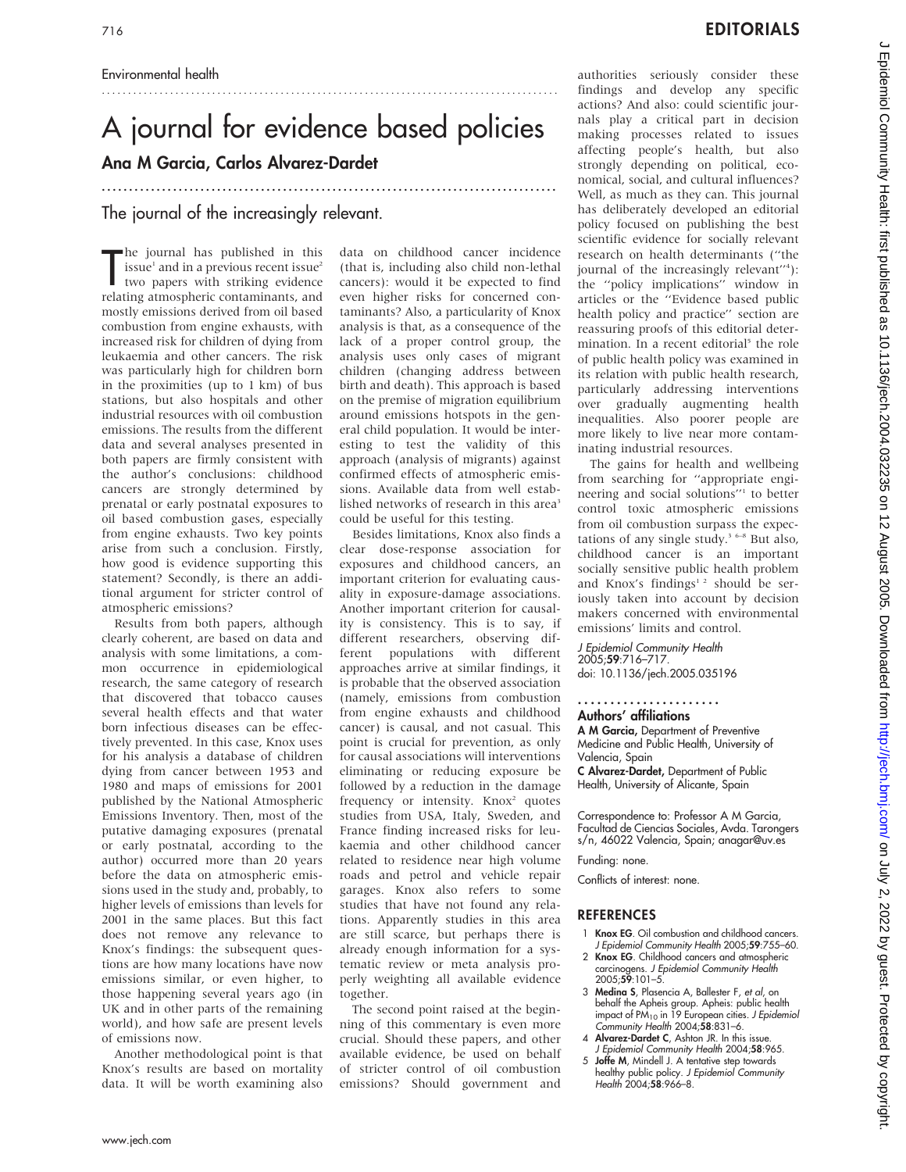### Environmental health

## A journal for evidence based policies Ana M Garcia, Carlos Alvarez-Dardet

.......................................................................................

## ...................................................................................

### The journal of the increasingly relevant.

The journal has published in this<br>
issue<sup>1</sup> and in a previous recent issue<sup>2</sup><br>
two papers with striking evidence<br>
relating atmospheric contaminants, and he journal has published in this issue<sup>1</sup> and in a previous recent issue<sup>2</sup> two papers with striking evidence mostly emissions derived from oil based combustion from engine exhausts, with increased risk for children of dying from leukaemia and other cancers. The risk was particularly high for children born in the proximities (up to 1 km) of bus stations, but also hospitals and other industrial resources with oil combustion emissions. The results from the different data and several analyses presented in both papers are firmly consistent with the author's conclusions: childhood cancers are strongly determined by prenatal or early postnatal exposures to oil based combustion gases, especially from engine exhausts. Two key points arise from such a conclusion. Firstly, how good is evidence supporting this statement? Secondly, is there an additional argument for stricter control of atmospheric emissions?

Results from both papers, although clearly coherent, are based on data and analysis with some limitations, a common occurrence in epidemiological research, the same category of research that discovered that tobacco causes several health effects and that water born infectious diseases can be effectively prevented. In this case, Knox uses for his analysis a database of children dying from cancer between 1953 and 1980 and maps of emissions for 2001 published by the National Atmospheric Emissions Inventory. Then, most of the putative damaging exposures (prenatal or early postnatal, according to the author) occurred more than 20 years before the data on atmospheric emissions used in the study and, probably, to higher levels of emissions than levels for 2001 in the same places. But this fact does not remove any relevance to Knox's findings: the subsequent questions are how many locations have now emissions similar, or even higher, to those happening several years ago (in UK and in other parts of the remaining world), and how safe are present levels of emissions now.

Another methodological point is that Knox's results are based on mortality data. It will be worth examining also data on childhood cancer incidence (that is, including also child non-lethal cancers): would it be expected to find even higher risks for concerned contaminants? Also, a particularity of Knox analysis is that, as a consequence of the lack of a proper control group, the analysis uses only cases of migrant children (changing address between birth and death). This approach is based on the premise of migration equilibrium around emissions hotspots in the general child population. It would be interesting to test the validity of this approach (analysis of migrants) against confirmed effects of atmospheric emissions. Available data from well established networks of research in this area<sup>3</sup> could be useful for this testing.

Besides limitations, Knox also finds a clear dose-response association for exposures and childhood cancers, an important criterion for evaluating causality in exposure-damage associations. Another important criterion for causality is consistency. This is to say, if different researchers, observing different populations with different approaches arrive at similar findings, it is probable that the observed association (namely, emissions from combustion from engine exhausts and childhood cancer) is causal, and not casual. This point is crucial for prevention, as only for causal associations will interventions eliminating or reducing exposure be followed by a reduction in the damage frequency or intensity. Knox<sup>2</sup> quotes studies from USA, Italy, Sweden, and France finding increased risks for leukaemia and other childhood cancer related to residence near high volume roads and petrol and vehicle repair garages. Knox also refers to some studies that have not found any relations. Apparently studies in this area are still scarce, but perhaps there is already enough information for a systematic review or meta analysis properly weighting all available evidence together.

The second point raised at the beginning of this commentary is even more crucial. Should these papers, and other available evidence, be used on behalf of stricter control of oil combustion emissions? Should government and

authorities seriously consider these findings and develop any specific actions? And also: could scientific journals play a critical part in decision making processes related to issues affecting people's health, but also strongly depending on political, economical, social, and cultural influences? Well, as much as they can. This journal has deliberately developed an editorial policy focused on publishing the best scientific evidence for socially relevant research on health determinants (''the journal of the increasingly relevant''4 ): the ''policy implications'' window in articles or the ''Evidence based public health policy and practice'' section are reassuring proofs of this editorial determination. In a recent editorial<sup>5</sup> the role of public health policy was examined in its relation with public health research, particularly addressing interventions over gradually augmenting health inequalities. Also poorer people are more likely to live near more contaminating industrial resources.

The gains for health and wellbeing from searching for ''appropriate engineering and social solutions''1 to better control toxic atmospheric emissions from oil combustion surpass the expectations of any single study. $3^{6-8}$  But also, childhood cancer is an important socially sensitive public health problem and Knox's findings<sup> $12$ </sup> should be seriously taken into account by decision makers concerned with environmental emissions' limits and control.

J Epidemiol Community Health 2005;59:716–717. doi: 10.1136/jech.2005.035196

### ......................

Authors' affiliations

A M Garcia, Department of Preventive Medicine and Public Health, University of Valencia, Spain

C Alvarez-Dardet, Department of Public Health, University of Alicante, Spain

Correspondence to: Professor A M Garcia, Facultad de Ciencias Sociales, Avda. Tarongers s/n, 46022 Valencia, Spain; anagar@uv.es

Funding: none.

Conflicts of interest: none.

### REFERENCES

- 1 Knox EG. Oil combustion and childhood cancers. J Epidemiol Community Health 2005;59:755–60.
- 2 Knox EG. Childhood cancers and atmospheric carcinogens. J Epidemiol Community Health  $2005:59:101-5$ .
- 3 Medina S, Plasencia A, Ballester F, et al, on behalf the Apheis group. Apheis: public health impact of  $PM_{10}$  in 19 European cities. J Epidemiol Community Health 2004;58:831–6.
- 4 Alvarez-Dardet C, Ashton JR. In this issue.
- J Epidemiol Community Health 2004;58:965. 5 Joffe M, Mindell J. A tentative step towards healthy public policy. J Epidemiol Community Health 2004;58:966–8.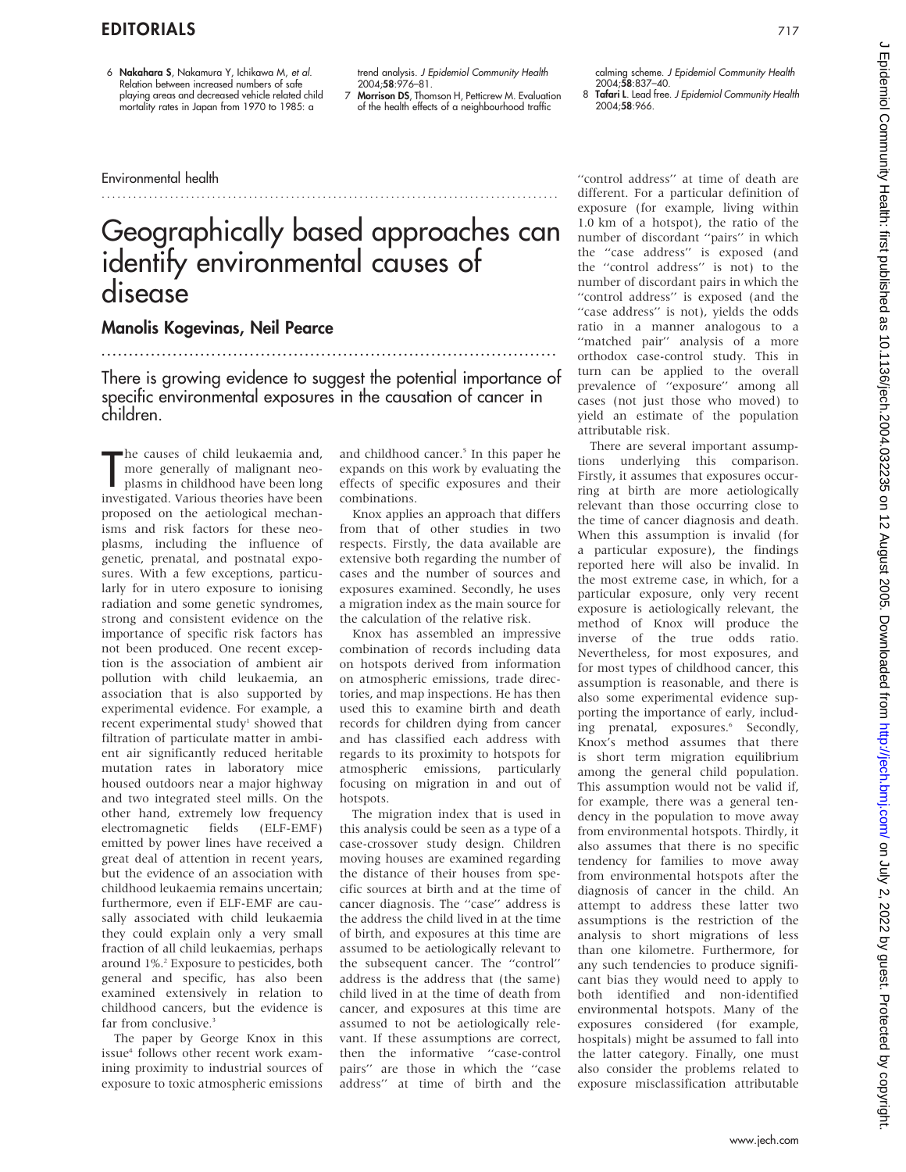## **EDITORIALS** 717

6 Nakahara S, Nakamura Y, Ichikawa M, et al. Relation between increased numbers of safe playing areas and decreased vehicle related child mortality rates in Japan from 1970 to 1985: a

trend analysis. J Epidemiol Community Health 2004;58:976–81.

7 Morrison DS, Thomson H, Petticrew M. Evaluation of the health effects of a neighbourhood traffic

calming scheme. *J Epidemiol Community Health*<br>2004;**58**:837–40.

8 Tafari L. Lead free. J Epidemiol Community Health 2004;58:966.

### Environmental health

# Geographically based approaches can identify environmental causes of disease

.......................................................................................

### Manolis Kogevinas, Neil Pearce

...................................................................................

There is growing evidence to suggest the potential importance of specific environmental exposures in the causation of cancer in children.

The causes of child leukaemia and,<br>
more generally of malignant neo-<br>
plasms in childhood have been long<br>
investigated. Various theories have been he causes of child leukaemia and, more generally of malignant neoplasms in childhood have been long proposed on the aetiological mechanisms and risk factors for these neoplasms, including the influence of genetic, prenatal, and postnatal exposures. With a few exceptions, particularly for in utero exposure to ionising radiation and some genetic syndromes, strong and consistent evidence on the importance of specific risk factors has not been produced. One recent exception is the association of ambient air pollution with child leukaemia, an association that is also supported by experimental evidence. For example, a recent experimental study<sup>1</sup> showed that filtration of particulate matter in ambient air significantly reduced heritable mutation rates in laboratory mice housed outdoors near a major highway and two integrated steel mills. On the other hand, extremely low frequency electromagnetic fields (ELF-EMF) emitted by power lines have received a great deal of attention in recent years, but the evidence of an association with childhood leukaemia remains uncertain; furthermore, even if ELF-EMF are causally associated with child leukaemia they could explain only a very small fraction of all child leukaemias, perhaps around 1%.2 Exposure to pesticides, both general and specific, has also been examined extensively in relation to childhood cancers, but the evidence is far from conclusive.<sup>3</sup>

The paper by George Knox in this issue<sup>4</sup> follows other recent work examining proximity to industrial sources of exposure to toxic atmospheric emissions and childhood cancer.<sup>5</sup> In this paper he expands on this work by evaluating the effects of specific exposures and their combinations.

Knox applies an approach that differs from that of other studies in two respects. Firstly, the data available are extensive both regarding the number of cases and the number of sources and exposures examined. Secondly, he uses a migration index as the main source for the calculation of the relative risk.

Knox has assembled an impressive combination of records including data on hotspots derived from information on atmospheric emissions, trade directories, and map inspections. He has then used this to examine birth and death records for children dying from cancer and has classified each address with regards to its proximity to hotspots for atmospheric emissions, particularly focusing on migration in and out of hotspots.

The migration index that is used in this analysis could be seen as a type of a case-crossover study design. Children moving houses are examined regarding the distance of their houses from specific sources at birth and at the time of cancer diagnosis. The ''case'' address is the address the child lived in at the time of birth, and exposures at this time are assumed to be aetiologically relevant to the subsequent cancer. The ''control'' address is the address that (the same) child lived in at the time of death from cancer, and exposures at this time are assumed to not be aetiologically relevant. If these assumptions are correct, then the informative ''case-control pairs'' are those in which the ''case address'' at time of birth and the

''control address'' at time of death are different. For a particular definition of exposure (for example, living within 1.0 km of a hotspot), the ratio of the number of discordant ''pairs'' in which the ''case address'' is exposed (and the ''control address'' is not) to the number of discordant pairs in which the "control address" is exposed (and the "case address" is not), yields the odds ratio in a manner analogous to a "matched pair" analysis of a more orthodox case-control study. This in turn can be applied to the overall prevalence of ''exposure'' among all cases (not just those who moved) to yield an estimate of the population attributable risk.

There are several important assumptions underlying this comparison. Firstly, it assumes that exposures occurring at birth are more aetiologically relevant than those occurring close to the time of cancer diagnosis and death. When this assumption is invalid (for a particular exposure), the findings reported here will also be invalid. In the most extreme case, in which, for a particular exposure, only very recent exposure is aetiologically relevant, the method of Knox will produce the inverse of the true odds ratio. Nevertheless, for most exposures, and for most types of childhood cancer, this assumption is reasonable, and there is also some experimental evidence supporting the importance of early, including prenatal, exposures.<sup>6</sup> Secondly, Knox's method assumes that there is short term migration equilibrium among the general child population. This assumption would not be valid if, for example, there was a general tendency in the population to move away from environmental hotspots. Thirdly, it also assumes that there is no specific tendency for families to move away from environmental hotspots after the diagnosis of cancer in the child. An attempt to address these latter two assumptions is the restriction of the analysis to short migrations of less than one kilometre. Furthermore, for any such tendencies to produce significant bias they would need to apply to both identified and non-identified environmental hotspots. Many of the exposures considered (for example, hospitals) might be assumed to fall into the latter category. Finally, one must also consider the problems related to exposure misclassification attributable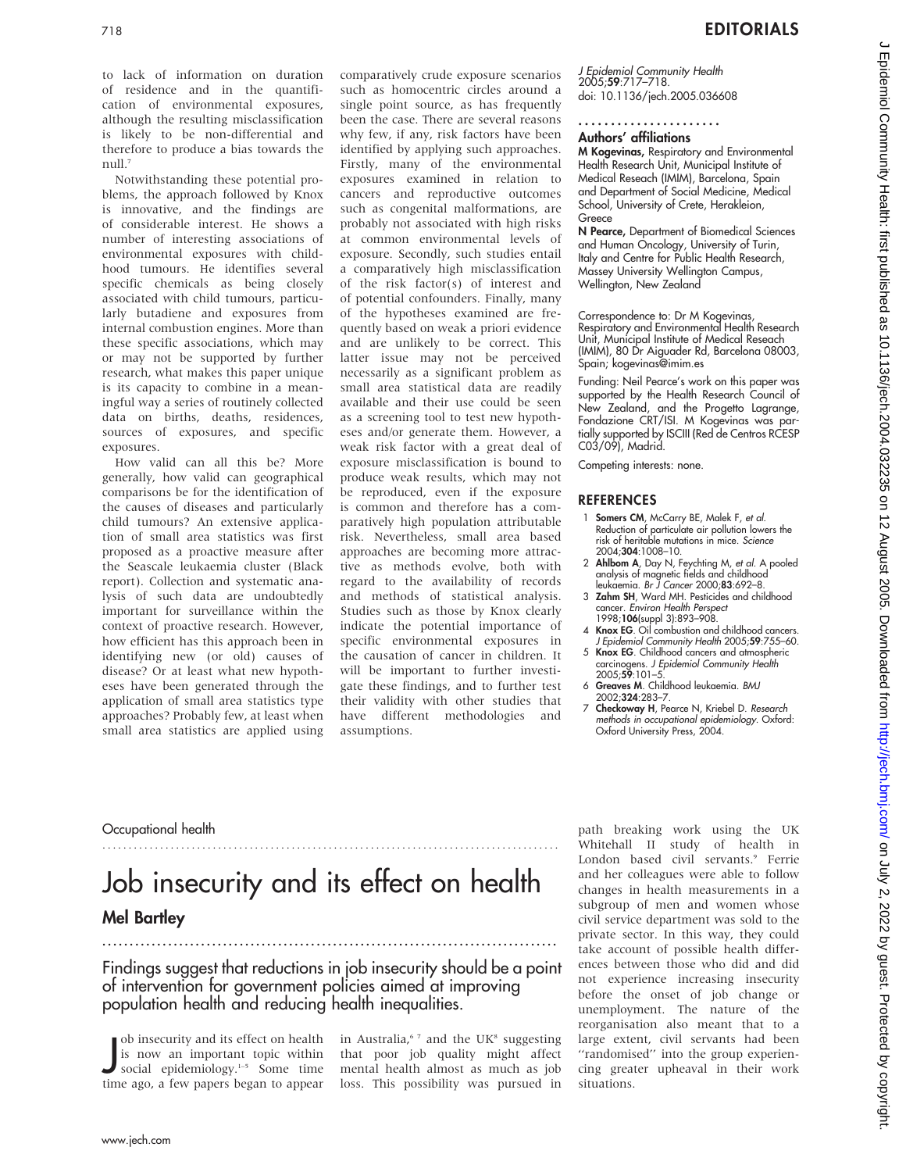to lack of information on duration of residence and in the quantification of environmental exposures, although the resulting misclassification is likely to be non-differential and therefore to produce a bias towards the null.7

Notwithstanding these potential problems, the approach followed by Knox is innovative, and the findings are of considerable interest. He shows a number of interesting associations of environmental exposures with childhood tumours. He identifies several specific chemicals as being closely associated with child tumours, particularly butadiene and exposures from internal combustion engines. More than these specific associations, which may or may not be supported by further research, what makes this paper unique is its capacity to combine in a meaningful way a series of routinely collected data on births, deaths, residences, sources of exposures, and specific exposures.

How valid can all this be? More generally, how valid can geographical comparisons be for the identification of the causes of diseases and particularly child tumours? An extensive application of small area statistics was first proposed as a proactive measure after the Seascale leukaemia cluster (Black report). Collection and systematic analysis of such data are undoubtedly important for surveillance within the context of proactive research. However, how efficient has this approach been in identifying new (or old) causes of disease? Or at least what new hypotheses have been generated through the application of small area statistics type approaches? Probably few, at least when small area statistics are applied using

comparatively crude exposure scenarios such as homocentric circles around a single point source, as has frequently been the case. There are several reasons why few, if any, risk factors have been identified by applying such approaches. Firstly, many of the environmental exposures examined in relation to cancers and reproductive outcomes such as congenital malformations, are probably not associated with high risks at common environmental levels of exposure. Secondly, such studies entail a comparatively high misclassification of the risk factor(s) of interest and of potential confounders. Finally, many of the hypotheses examined are frequently based on weak a priori evidence and are unlikely to be correct. This latter issue may not be perceived necessarily as a significant problem as small area statistical data are readily available and their use could be seen as a screening tool to test new hypotheses and/or generate them. However, a weak risk factor with a great deal of exposure misclassification is bound to produce weak results, which may not be reproduced, even if the exposure is common and therefore has a comparatively high population attributable risk. Nevertheless, small area based approaches are becoming more attractive as methods evolve, both with regard to the availability of records and methods of statistical analysis. Studies such as those by Knox clearly indicate the potential importance of specific environmental exposures in the causation of cancer in children. It will be important to further investigate these findings, and to further test their validity with other studies that have different methodologies and assumptions.

J Epidemiol Community Health<br>2005;**59**:717–718. doi: 10.1136/jech.2005.036608

......................

### Authors' affiliations

M Kogevinas, Respiratory and Environmental Health Research Unit, Municipal Institute of Medical Reseach (IMIM), Barcelona, Spain and Department of Social Medicine, Medical School, University of Crete, Herakleion, Greece

N Pearce, Department of Biomedical Sciences and Human Oncology, University of Turin, Italy and Centre for Public Health Research, Massey University Wellington Campus, Wellington, New Zealand

Correspondence to: Dr M Kogevinas, Respiratory and Environmental Health Research Unit, Municipal Institute of Medical Reseach (IMIM), 80 Dr Aiguader Rd, Barcelona 08003, Spain; kogevinas@imim.es

Funding: Neil Pearce's work on this paper was supported by the Health Research Council of New Zealand, and the Progetto Lagrange, Fondazione CRT/ISI. M Kogevinas was partially supported by ISCIII (Red de Centros RCESP C03/09), Madrid.

Competing interests: none.

#### REFERENCES

- 1 Somers CM, McCarry BE, Malek F, et al. Reduction of particulate air pollution lowers the risk of heritable mutations in mice. Science 2004;304:1008–10.
- 2 Ahlbom A, Day N, Feychting M, *et al.* A pooled<br>analysis of magnetic fields and childhood<br>leukaemia. *Br J Cancer* 2000;**83**:692–8.
- 3 Zahm SH, Ward MH. Pesticides and childhood cancer. Environ Health Perspect
- 1998;106(suppl 3):893–908. 4 Knox EG. Oil combustion and childhood cancers. J Epidemiol Community Health 2005;59:755-60.
- 5 Knox EG. Childhood cancers and atmospheric carcinogens. *J Epidemiol Community Health*<br>2005;**59**:101–5.
- 6 Greaves M. Childhood leukaemia. BMJ 2002;324:283–7.
- 7 Checkoway H, Pearce N, Kriebel D. Research methods in occupational epidemiology. Oxford: Oxford University Press, 2004.

### Occupational health

## Job insecurity and its effect on health Mel Bartley

.......................................................................................

## Findings suggest that reductions in job insecurity should be a point of intervention for government policies aimed at improving population health and reducing health inequalities.

...................................................................................

Job insecurity and its effect on health<br>is now an important topic within<br>social epidemiology.<sup>1-5</sup> Some time<br>time ago, a few papers began to appear ob insecurity and its effect on health is now an important topic within social epidemiology.<sup>1-5</sup> Some time

in Australia, $67$  and the UK $8$  suggesting that poor job quality might affect mental health almost as much as job loss. This possibility was pursued in path breaking work using the UK Whitehall II study of health in London based civil servants.<sup>9</sup> Ferrie and her colleagues were able to follow changes in health measurements in a subgroup of men and women whose civil service department was sold to the private sector. In this way, they could take account of possible health differences between those who did and did not experience increasing insecurity before the onset of job change or unemployment. The nature of the reorganisation also meant that to a large extent, civil servants had been ''randomised'' into the group experiencing greater upheaval in their work situations.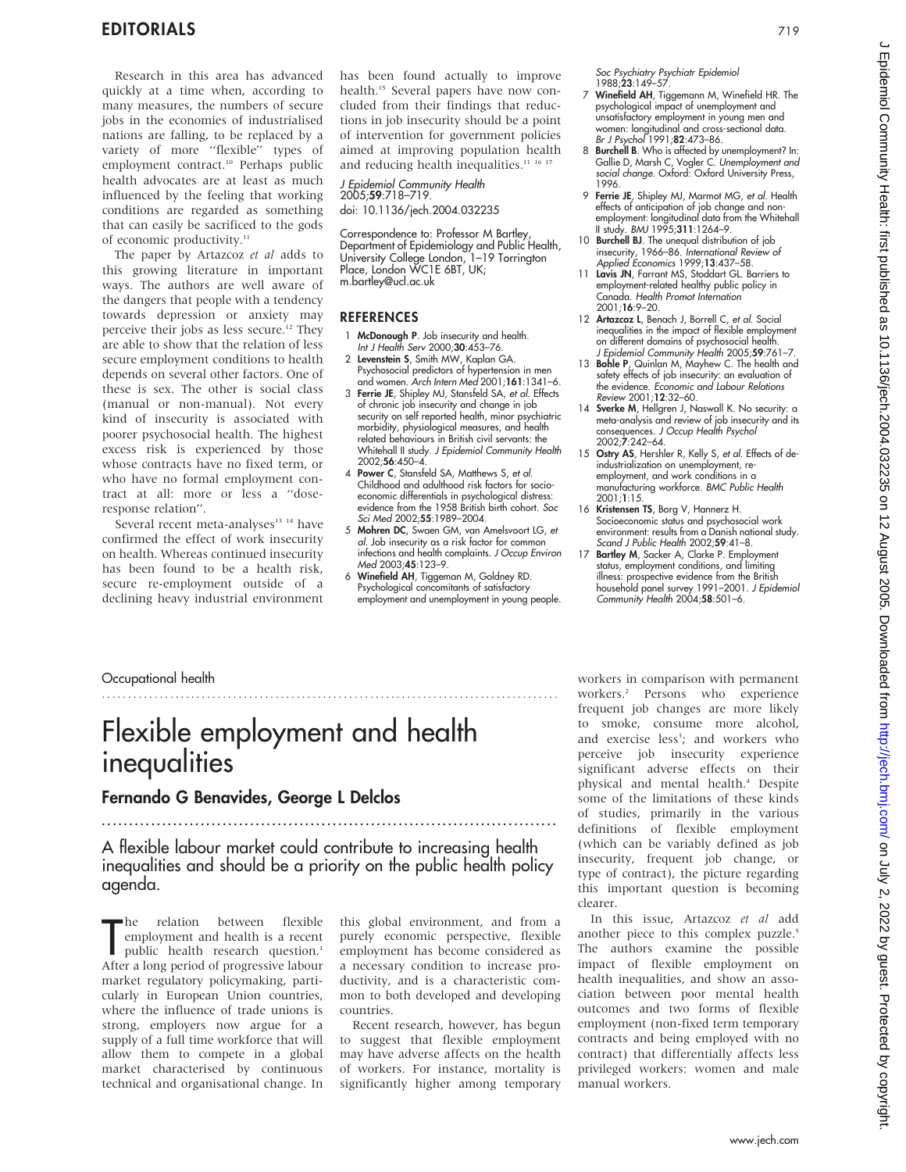Research in this area has advanced quickly at a time when, according to many measures, the numbers of secure jobs in the economies of industrialised nations are falling, to be replaced by a variety of more ''flexible'' types of employment contract.10 Perhaps public health advocates are at least as much influenced by the feeling that working conditions are regarded as something that can easily be sacrificed to the gods of economic productivity.<sup>11</sup>

The paper by Artazcoz et al adds to this growing literature in important ways. The authors are well aware of the dangers that people with a tendency towards depression or anxiety may perceive their jobs as less secure.<sup>12</sup> They are able to show that the relation of less secure employment conditions to health depends on several other factors. One of these is sex. The other is social class (manual or non-manual). Not every kind of insecurity is associated with poorer psychosocial health. The highest excess risk is experienced by those whose contracts have no fixed term, or who have no formal employment contract at all: more or less a ''doseresponse relation''.

Several recent meta-analyses $13/14$  have confirmed the effect of work insecurity on health. Whereas continued insecurity has been found to be a health risk, secure re-employment outside of a declining heavy industrial environment has been found actually to improve health.<sup>15</sup> Several papers have now concluded from their findings that reductions in job insecurity should be a point of intervention for government policies aimed at improving population health and reducing health inequalities.<sup>11 16 17</sup>

J Epidemiol Community Health 2005;59:718–719. doi: 10.1136/jech.2004.032235

Correspondence to: Professor M Bartley, Department of Epidemiology and Public Health, University College London, 1–19 Torrington Place, London WC1E 6BT, UK; m.bartley@ucl.ac.uk

### **REFERENCES**

- 1 **McDonough P**. Job insecurity and health. Int J Health Serv 2000;30:453–76.
- 2 Levenstein S, Smith MW, Kaplan GA. Psychosocial predictors of hypertension in men and women. Arch Intern Med 2001;161:1341–6.
- 3 Ferrie JE, Shipley MJ, Stansfeld SA, et al. Effects of chronic job insecurity and change in job security on self reported health, minor psychiatric morbidity, physiological measures, and health related behaviours in British civil servants: the<br>Whitehall II study. *J Epidemiol Community Health* 2002;56:450–4.
- 4 Power C, Stansfeld SA, Matthews S, et al. Childhood and adulthood risk factors for socioeconomic differentials in psychological distress: evidence from the 1958 British birth cohort. Soc Sci Med 2002;55:1989-2004.
- 5 Mohren DC, Swaen GM, van Amelsvoort LG, et al. Job insecurity as a risk factor for common infections and health complaints. J Occup Environ Med 2003;45:123–9.
- 6 Winefield AH, Tiggeman M, Goldney RD. Psychological concomitants of satisfactory employment and unemployment in young people.

.......................................................................................

Soc Psychiatry Psychiatr Epidemiol<br>1988;**23**:149–57.

- 7 Winefield AH, Tiggemann M, Winefield HR. The psychological impact of unemployment and unsatisfactory employment in young men and women: longitudinal and cross-sectional data. Br J Psychol 1991;82:473–86.
- 8 **Burchell B**. Who is affected by unemployment? In:<br>Gallie D, Marsh C, Vogler C. Un*employment and* social change. Oxford: Oxford University Press, 1996.
- 9 Ferrie JE, Shipley MJ, Marmot MG, et al. Health effects of anticipation of job change and nonemployment: longitudinal data from the Whitehall Il study. BMJ 1995;311:1264-9.
- 10 Burchell BJ. The unequal distribution of job insecurity, 1966–86. International Review of Applied Economics 1999;13:437–58.
- 11 Lavis JN, Farrant MS, Stoddart GL. Barriers to employment-related healthy public policy in Canada. Health Promot Internation 2001;16:9–20.
- 12 Artazcoz L, Benach J, Borrell C, et al. Social inequalities in the impact of flexible employment on different domains of psychosocial health. J Epidemiol Community Health 2005;59:761–7.
- 13 Bohle P, Quinlan M, Mayhew C. The health and safety effects of job insecurity: an evaluation of the evidence. Economic and Labour Relations Review 2001;12:32–60.
- 14 Sverke M, Hellgren J, Naswall K. No security: a meta-analysis and review of job insecurity and its consequences. J Occup Health Psychol 2002;7:242–64.
- 15 Ostry AS, Hershler R, Kelly S, et al. Effects of deindustrialization on unemployment, reemployment, and work conditions in a manufacturing workforce. BMC Public Health 2001;1:15.
- 16 Kristensen TS, Borg V, Hannerz H. Socioeconomic status and psychosocial work environment: results from a Danish national study. Scand J Public Health 2002;59:41–8.
- 17 Bartley M, Sacker A, Clarke P. Employment status, employment conditions, and limiting illness: prospective evidence from the British household panel survey 1991–2001. *J Epidemiol*<br>Community Health 2004;**58**:501–6.

### Occupational health

# Flexible employment and health inequalities

### Fernando G Benavides, George L Delclos

A flexible labour market could contribute to increasing health inequalities and should be a priority on the public health policy agenda.

The relation between itexible<br>
employment and health is a recent<br>
public health research question.<sup>1</sup> he relation between flexible employment and health is a recent After a long period of progressive labour market regulatory policymaking, particularly in European Union countries, where the influence of trade unions is strong, employers now argue for a supply of a full time workforce that will allow them to compete in a global market characterised by continuous technical and organisational change. In

this global environment, and from a purely economic perspective, flexible employment has become considered as a necessary condition to increase productivity, and is a characteristic common to both developed and developing countries.

...................................................................................

Recent research, however, has begun to suggest that flexible employment may have adverse affects on the health of workers. For instance, mortality is significantly higher among temporary workers in comparison with permanent workers.2 Persons who experience frequent job changes are more likely to smoke, consume more alcohol, and exercise less<sup>3</sup>; and workers who perceive job insecurity experience significant adverse effects on their physical and mental health.4 Despite some of the limitations of these kinds of studies, primarily in the various definitions of flexible employment (which can be variably defined as job insecurity, frequent job change, or type of contract), the picture regarding this important question is becoming clearer.

In this issue, Artazcoz et al add another piece to this complex puzzle.<sup>5</sup> The authors examine the possible impact of flexible employment on health inequalities, and show an association between poor mental health outcomes and two forms of flexible employment (non-fixed term temporary contracts and being employed with no contract) that differentially affects less privileged workers: women and male manual workers.